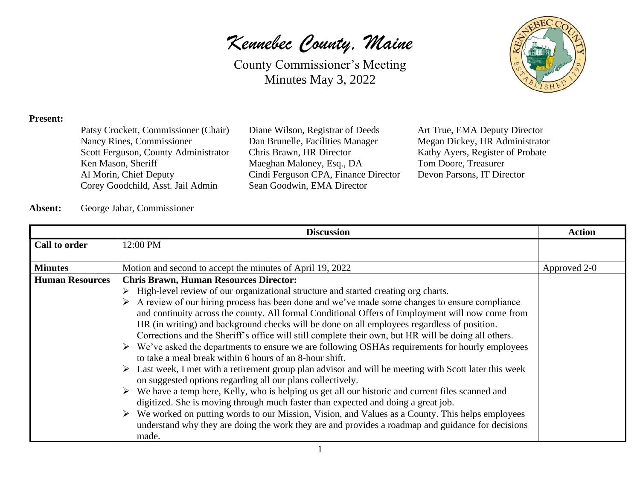*Kennebec County, Maine*

County Commissioner's Meeting Minutes May 3, 2022



#### **Present:**

| Patsy Crockett, Commissioner (Chair) |
|--------------------------------------|
| Nancy Rines, Commissioner            |
| Scott Ferguson, County Administrator |
| Ken Mason, Sheriff                   |
| Al Morin, Chief Deputy               |
| Corey Goodchild, Asst. Jail Admin    |

Diane Wilson, Registrar of Deeds Art True, EMA Deputy Director Dan Brunelle, Facilities Manager Megan Dickey, HR Administrator Chris Brawn, HR Director Kathy Ayers, Register of Probate Maeghan Maloney, Esq., DA Tom Doore, Treasurer Cindi Ferguson CPA, Finance Director Devon Parsons, IT Director Sean Goodwin, EMA Director

#### **Absent:** George Jabar, Commissioner

|                        | <b>Discussion</b>                                                                                                                                                                                                                                                                                                                                                                                                                                                                                                                                                                                                                                                                                                                                                                                                                                                                                                   | <b>Action</b> |
|------------------------|---------------------------------------------------------------------------------------------------------------------------------------------------------------------------------------------------------------------------------------------------------------------------------------------------------------------------------------------------------------------------------------------------------------------------------------------------------------------------------------------------------------------------------------------------------------------------------------------------------------------------------------------------------------------------------------------------------------------------------------------------------------------------------------------------------------------------------------------------------------------------------------------------------------------|---------------|
| Call to order          | 12:00 PM                                                                                                                                                                                                                                                                                                                                                                                                                                                                                                                                                                                                                                                                                                                                                                                                                                                                                                            |               |
|                        |                                                                                                                                                                                                                                                                                                                                                                                                                                                                                                                                                                                                                                                                                                                                                                                                                                                                                                                     |               |
| <b>Minutes</b>         | Motion and second to accept the minutes of April 19, 2022                                                                                                                                                                                                                                                                                                                                                                                                                                                                                                                                                                                                                                                                                                                                                                                                                                                           | Approved 2-0  |
| <b>Human Resources</b> | <b>Chris Brawn, Human Resources Director:</b><br>$\triangleright$ High-level review of our organizational structure and started creating org charts.                                                                                                                                                                                                                                                                                                                                                                                                                                                                                                                                                                                                                                                                                                                                                                |               |
|                        | $\triangleright$ A review of our hiring process has been done and we've made some changes to ensure compliance<br>and continuity across the county. All formal Conditional Offers of Employment will now come from<br>HR (in writing) and background checks will be done on all employees regardless of position.<br>Corrections and the Sheriff's office will still complete their own, but HR will be doing all others.<br>$\triangleright$ We've asked the departments to ensure we are following OSHAs requirements for hourly employees<br>to take a meal break within 6 hours of an 8-hour shift.<br>$\triangleright$ Last week, I met with a retirement group plan advisor and will be meeting with Scott later this week<br>on suggested options regarding all our plans collectively.<br>$\triangleright$ We have a temp here, Kelly, who is helping us get all our historic and current files scanned and |               |
|                        | digitized. She is moving through much faster than expected and doing a great job.<br>$\triangleright$ We worked on putting words to our Mission, Vision, and Values as a County. This helps employees<br>understand why they are doing the work they are and provides a roadmap and guidance for decisions<br>made.                                                                                                                                                                                                                                                                                                                                                                                                                                                                                                                                                                                                 |               |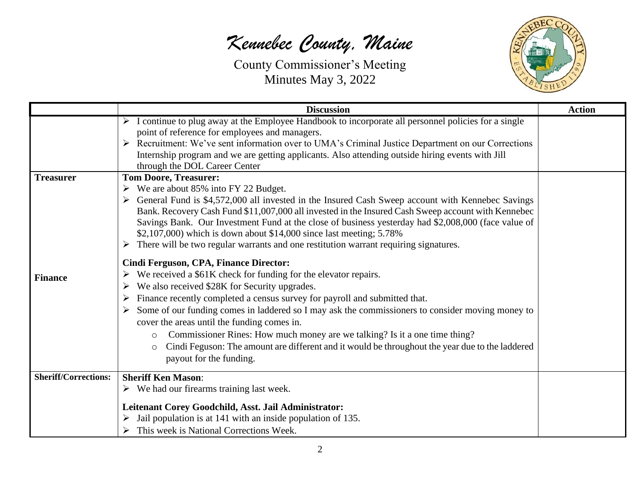

|                                    | <b>Discussion</b>                                                                                                                                                                                                                                                                                                                                                                                                                                                                                                                                                                                                                                                                                                                                                                                                                                                                                                                                                                                                                                                                                                                                                                                                                      | <b>Action</b> |
|------------------------------------|----------------------------------------------------------------------------------------------------------------------------------------------------------------------------------------------------------------------------------------------------------------------------------------------------------------------------------------------------------------------------------------------------------------------------------------------------------------------------------------------------------------------------------------------------------------------------------------------------------------------------------------------------------------------------------------------------------------------------------------------------------------------------------------------------------------------------------------------------------------------------------------------------------------------------------------------------------------------------------------------------------------------------------------------------------------------------------------------------------------------------------------------------------------------------------------------------------------------------------------|---------------|
|                                    | $\triangleright$ I continue to plug away at the Employee Handbook to incorporate all personnel policies for a single<br>point of reference for employees and managers.<br>Recruitment: We've sent information over to UMA's Criminal Justice Department on our Corrections<br>Internship program and we are getting applicants. Also attending outside hiring events with Jill<br>through the DOL Career Center                                                                                                                                                                                                                                                                                                                                                                                                                                                                                                                                                                                                                                                                                                                                                                                                                        |               |
| <b>Treasurer</b><br><b>Finance</b> | <b>Tom Doore, Treasurer:</b><br>$\triangleright$ We are about 85% into FY 22 Budget.<br>$\triangleright$ General Fund is \$4,572,000 all invested in the Insured Cash Sweep account with Kennebec Savings<br>Bank. Recovery Cash Fund \$11,007,000 all invested in the Insured Cash Sweep account with Kennebec<br>Savings Bank. Our Investment Fund at the close of business yesterday had \$2,008,000 (face value of<br>\$2,107,000) which is down about \$14,000 since last meeting; 5.78%<br>$\triangleright$ There will be two regular warrants and one restitution warrant requiring signatures.<br>Cindi Ferguson, CPA, Finance Director:<br>We received a \$61K check for funding for the elevator repairs.<br>We also received \$28K for Security upgrades.<br>➤<br>Finance recently completed a census survey for payroll and submitted that.<br>➤<br>Some of our funding comes in laddered so I may ask the commissioners to consider moving money to<br>cover the areas until the funding comes in.<br>Commissioner Rines: How much money are we talking? Is it a one time thing?<br>$\circ$<br>Cindi Feguson: The amount are different and it would be throughout the year due to the laddered<br>payout for the funding. |               |
| <b>Sheriff/Corrections:</b>        | <b>Sheriff Ken Mason:</b><br>$\triangleright$ We had our firearms training last week.<br>Leitenant Corey Goodchild, Asst. Jail Administrator:<br>Jail population is at 141 with an inside population of 135.<br>$\triangleright$ This week is National Corrections Week.                                                                                                                                                                                                                                                                                                                                                                                                                                                                                                                                                                                                                                                                                                                                                                                                                                                                                                                                                               |               |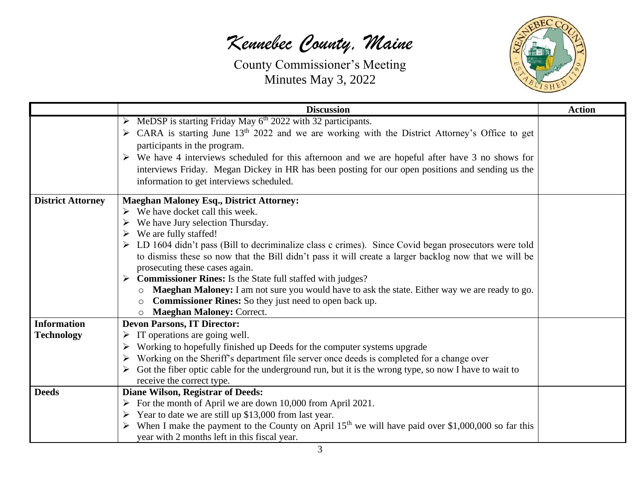

|                          | <b>Discussion</b>                                                                                                          | <b>Action</b> |
|--------------------------|----------------------------------------------------------------------------------------------------------------------------|---------------|
|                          | $\triangleright$ MeDSP is starting Friday May 6 <sup>th</sup> 2022 with 32 participants.                                   |               |
|                          | $\triangleright$ CARA is starting June 13 <sup>th</sup> 2022 and we are working with the District Attorney's Office to get |               |
|                          | participants in the program.                                                                                               |               |
|                          | $\triangleright$ We have 4 interviews scheduled for this afternoon and we are hopeful after have 3 no shows for            |               |
|                          | interviews Friday. Megan Dickey in HR has been posting for our open positions and sending us the                           |               |
|                          | information to get interviews scheduled.                                                                                   |               |
| <b>District Attorney</b> | <b>Maeghan Maloney Esq., District Attorney:</b>                                                                            |               |
|                          | $\triangleright$ We have docket call this week.                                                                            |               |
|                          | We have Jury selection Thursday.                                                                                           |               |
|                          | We are fully staffed!                                                                                                      |               |
|                          | $\triangleright$ LD 1604 didn't pass (Bill to decriminalize class c crimes). Since Covid began prosecutors were told       |               |
|                          | to dismiss these so now that the Bill didn't pass it will create a larger backlog now that we will be                      |               |
|                          | prosecuting these cases again.                                                                                             |               |
|                          | $\triangleright$ Commissioner Rines: Is the State full staffed with judges?                                                |               |
|                          | Maeghan Maloney: I am not sure you would have to ask the state. Either way we are ready to go.<br>$\circ$                  |               |
|                          | <b>Commissioner Rines:</b> So they just need to open back up.                                                              |               |
|                          | <b>Maeghan Maloney: Correct.</b>                                                                                           |               |
| <b>Information</b>       | <b>Devon Parsons, IT Director:</b>                                                                                         |               |
| <b>Technology</b>        | $\triangleright$ IT operations are going well.                                                                             |               |
|                          | Working to hopefully finished up Deeds for the computer systems upgrade                                                    |               |
|                          | Working on the Sheriff's department file server once deeds is completed for a change over                                  |               |
|                          | $\triangleright$ Got the fiber optic cable for the underground run, but it is the wrong type, so now I have to wait to     |               |
|                          | receive the correct type.                                                                                                  |               |
| <b>Deeds</b>             | <b>Diane Wilson, Registrar of Deeds:</b>                                                                                   |               |
|                          | $\triangleright$ For the month of April we are down 10,000 from April 2021.                                                |               |
|                          | $\triangleright$ Year to date we are still up \$13,000 from last year.                                                     |               |
|                          | > When I make the payment to the County on April 15 <sup>th</sup> we will have paid over \$1,000,000 so far this           |               |
|                          | year with 2 months left in this fiscal year.                                                                               |               |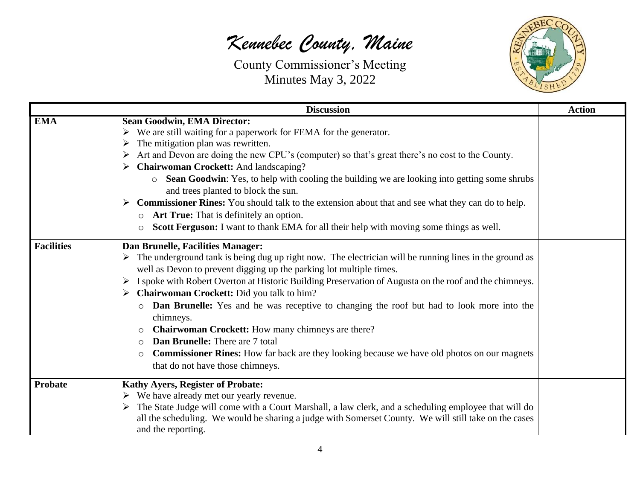

|                   | <b>Discussion</b>                                                                                                                                                                                                                                                                                                                                                                                                                                                                                                                                                                                                                                                                                                                                                                                         | <b>Action</b> |
|-------------------|-----------------------------------------------------------------------------------------------------------------------------------------------------------------------------------------------------------------------------------------------------------------------------------------------------------------------------------------------------------------------------------------------------------------------------------------------------------------------------------------------------------------------------------------------------------------------------------------------------------------------------------------------------------------------------------------------------------------------------------------------------------------------------------------------------------|---------------|
| <b>EMA</b>        | <b>Sean Goodwin, EMA Director:</b><br>We are still waiting for a paperwork for FEMA for the generator.<br>➤<br>The mitigation plan was rewritten.<br>➤<br>Art and Devon are doing the new CPU's (computer) so that's great there's no cost to the County.<br>➤<br><b>Chairwoman Crockett:</b> And landscaping?<br>➤<br><b>Sean Goodwin:</b> Yes, to help with cooling the building we are looking into getting some shrubs<br>$\circ$<br>and trees planted to block the sun.<br>Commissioner Rines: You should talk to the extension about that and see what they can do to help.<br><b>Art True:</b> That is definitely an option.<br>$\circ$<br>Scott Ferguson: I want to thank EMA for all their help with moving some things as well.<br>$\circ$                                                      |               |
| <b>Facilities</b> | Dan Brunelle, Facilities Manager:<br>$\triangleright$ The underground tank is being dug up right now. The electrician will be running lines in the ground as<br>well as Devon to prevent digging up the parking lot multiple times.<br>I spoke with Robert Overton at Historic Building Preservation of Augusta on the roof and the chimneys.<br>➤<br><b>Chairwoman Crockett:</b> Did you talk to him?<br>➤<br><b>Dan Brunelle:</b> Yes and he was receptive to changing the roof but had to look more into the<br>$\circ$<br>chimneys.<br>Chairwoman Crockett: How many chimneys are there?<br><b>Dan Brunelle:</b> There are 7 total<br>$\bigcirc$<br><b>Commissioner Rines:</b> How far back are they looking because we have old photos on our magnets<br>$\circ$<br>that do not have those chimneys. |               |
| Probate           | <b>Kathy Ayers, Register of Probate:</b><br>We have already met our yearly revenue.<br>➤<br>The State Judge will come with a Court Marshall, a law clerk, and a scheduling employee that will do<br>all the scheduling. We would be sharing a judge with Somerset County. We will still take on the cases<br>and the reporting.                                                                                                                                                                                                                                                                                                                                                                                                                                                                           |               |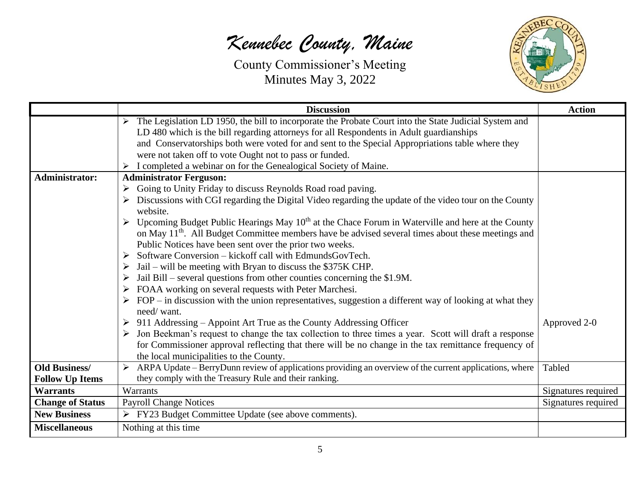

|                         | <b>Discussion</b>                                                                                                       | <b>Action</b>       |
|-------------------------|-------------------------------------------------------------------------------------------------------------------------|---------------------|
|                         | The Legislation LD 1950, the bill to incorporate the Probate Court into the State Judicial System and                   |                     |
|                         | LD 480 which is the bill regarding attorneys for all Respondents in Adult guardianships                                 |                     |
|                         | and Conservatorships both were voted for and sent to the Special Appropriations table where they                        |                     |
|                         | were not taken off to vote Ought not to pass or funded.                                                                 |                     |
|                         | I completed a webinar on for the Genealogical Society of Maine.                                                         |                     |
| <b>Administrator:</b>   | <b>Administrator Ferguson:</b>                                                                                          |                     |
|                         | Going to Unity Friday to discuss Reynolds Road road paving.                                                             |                     |
|                         | $\triangleright$ Discussions with CGI regarding the Digital Video regarding the update of the video tour on the County  |                     |
|                         | website.                                                                                                                |                     |
|                         | Upcoming Budget Public Hearings May $10th$ at the Chace Forum in Waterville and here at the County                      |                     |
|                         | on May 11 <sup>th</sup> . All Budget Committee members have be advised several times about these meetings and           |                     |
|                         | Public Notices have been sent over the prior two weeks.                                                                 |                     |
|                         | Software Conversion – kickoff call with EdmundsGovTech.                                                                 |                     |
|                         | Jail – will be meeting with Bryan to discuss the \$375K CHP.                                                            |                     |
|                         | Jail Bill – several questions from other counties concerning the \$1.9M.<br>➤                                           |                     |
|                         | FOAA working on several requests with Peter Marchesi.                                                                   |                     |
|                         | $\triangleright$ FOP – in discussion with the union representatives, suggestion a different way of looking at what they |                     |
|                         | need/want.                                                                                                              |                     |
|                         | $\triangleright$ 911 Addressing – Appoint Art True as the County Addressing Officer                                     | Approved 2-0        |
|                         | Jon Beekman's request to change the tax collection to three times a year. Scott will draft a response                   |                     |
|                         | for Commissioner approval reflecting that there will be no change in the tax remittance frequency of                    |                     |
|                         | the local municipalities to the County.                                                                                 |                     |
| <b>Old Business/</b>    | ARPA Update – BerryDunn review of applications providing an overview of the current applications, where<br>➤            | Tabled              |
| <b>Follow Up Items</b>  | they comply with the Treasury Rule and their ranking.                                                                   |                     |
| <b>Warrants</b>         | Warrants                                                                                                                | Signatures required |
| <b>Change of Status</b> | <b>Payroll Change Notices</b>                                                                                           | Signatures required |
| <b>New Business</b>     | FY23 Budget Committee Update (see above comments).                                                                      |                     |
| <b>Miscellaneous</b>    | Nothing at this time                                                                                                    |                     |